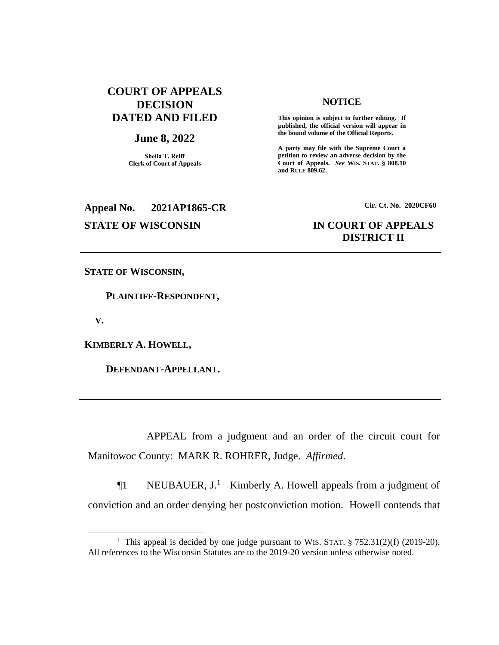# **COURT OF APPEALS DECISION DATED AND FILED**

#### **June 8, 2022**

**Sheila T. Reiff Clerk of Court of Appeals**

# **Appeal No. 2021AP1865-CR Cir. Ct. No. 2020CF60**

#### **NOTICE**

**This opinion is subject to further editing. If published, the official version will appear in the bound volume of the Official Reports.** 

**A party may file with the Supreme Court a petition to review an adverse decision by the Court of Appeals.** *See* **WIS. STAT. § 808.10 and RULE 809.62.** 

# **STATE OF WISCONSIN IN COURT OF APPEALS DISTRICT II**

**STATE OF WISCONSIN,**

 **PLAINTIFF-RESPONDENT,**

 **V.**

 $\overline{a}$ 

**KIMBERLY A. HOWELL,**

 **DEFENDANT-APPELLANT.**

APPEAL from a judgment and an order of the circuit court for Manitowoc County: MARK R. ROHRER, Judge. *Affirmed*.

¶1 NEUBAUER, J.<sup>1</sup> Kimberly A. Howell appeals from a judgment of conviction and an order denying her postconviction motion. Howell contends that

<sup>&</sup>lt;sup>1</sup> This appeal is decided by one judge pursuant to WIS. STAT.  $\S 752.31(2)(f)$  (2019-20). All references to the Wisconsin Statutes are to the 2019-20 version unless otherwise noted.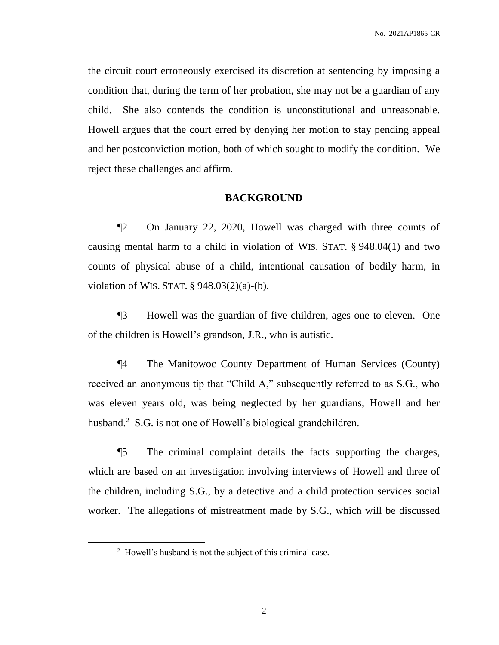the circuit court erroneously exercised its discretion at sentencing by imposing a condition that, during the term of her probation, she may not be a guardian of any child. She also contends the condition is unconstitutional and unreasonable. Howell argues that the court erred by denying her motion to stay pending appeal and her postconviction motion, both of which sought to modify the condition. We reject these challenges and affirm.

### **BACKGROUND**

¶2 On January 22, 2020, Howell was charged with three counts of causing mental harm to a child in violation of WIS. STAT. § 948.04(1) and two counts of physical abuse of a child, intentional causation of bodily harm, in violation of WIS. STAT.  $\S$  948.03(2)(a)-(b).

¶3 Howell was the guardian of five children, ages one to eleven. One of the children is Howell's grandson, J.R., who is autistic.

¶4 The Manitowoc County Department of Human Services (County) received an anonymous tip that "Child A," subsequently referred to as S.G., who was eleven years old, was being neglected by her guardians, Howell and her husband.<sup>2</sup> S.G. is not one of Howell's biological grandchildren.

¶5 The criminal complaint details the facts supporting the charges, which are based on an investigation involving interviews of Howell and three of the children, including S.G., by a detective and a child protection services social worker. The allegations of mistreatment made by S.G., which will be discussed

 $2$  Howell's husband is not the subject of this criminal case.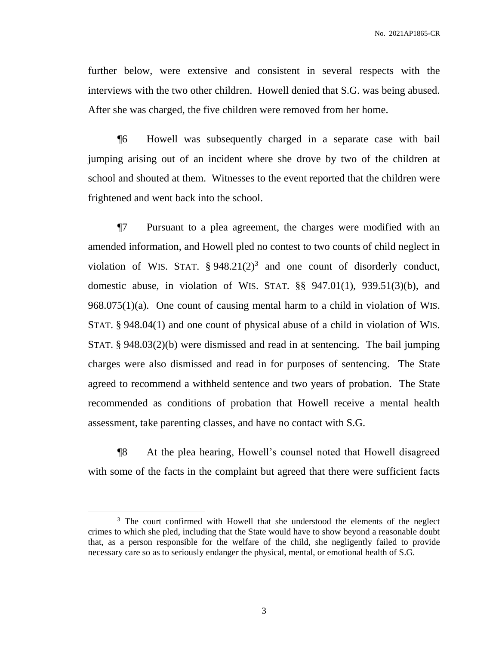further below, were extensive and consistent in several respects with the interviews with the two other children. Howell denied that S.G. was being abused. After she was charged, the five children were removed from her home.

¶6 Howell was subsequently charged in a separate case with bail jumping arising out of an incident where she drove by two of the children at school and shouted at them. Witnesses to the event reported that the children were frightened and went back into the school.

¶7 Pursuant to a plea agreement, the charges were modified with an amended information, and Howell pled no contest to two counts of child neglect in violation of WIS. STAT.  $\S 948.21(2)^3$  and one count of disorderly conduct, domestic abuse, in violation of WIS. STAT. §§ 947.01(1), 939.51(3)(b), and 968.075(1)(a). One count of causing mental harm to a child in violation of WIS. STAT. § 948.04(1) and one count of physical abuse of a child in violation of WIS. STAT. § 948.03(2)(b) were dismissed and read in at sentencing. The bail jumping charges were also dismissed and read in for purposes of sentencing. The State agreed to recommend a withheld sentence and two years of probation. The State recommended as conditions of probation that Howell receive a mental health assessment, take parenting classes, and have no contact with S.G.

¶8 At the plea hearing, Howell's counsel noted that Howell disagreed with some of the facts in the complaint but agreed that there were sufficient facts

 $\overline{a}$ 

<sup>&</sup>lt;sup>3</sup> The court confirmed with Howell that she understood the elements of the neglect crimes to which she pled, including that the State would have to show beyond a reasonable doubt that, as a person responsible for the welfare of the child, she negligently failed to provide necessary care so as to seriously endanger the physical, mental, or emotional health of S.G.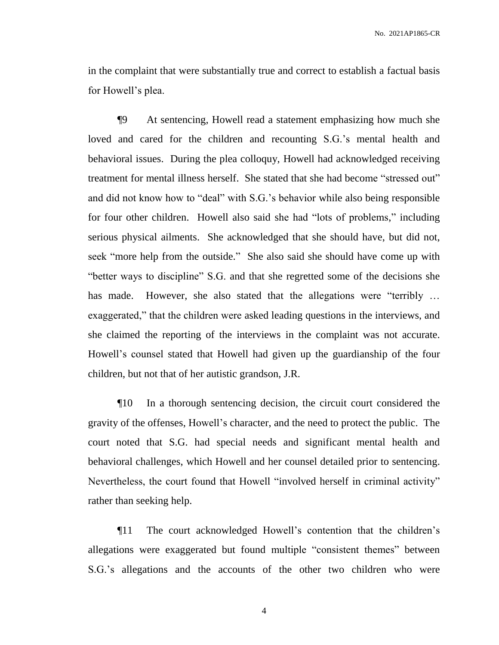in the complaint that were substantially true and correct to establish a factual basis for Howell's plea.

¶9 At sentencing, Howell read a statement emphasizing how much she loved and cared for the children and recounting S.G.'s mental health and behavioral issues. During the plea colloquy, Howell had acknowledged receiving treatment for mental illness herself. She stated that she had become "stressed out" and did not know how to "deal" with S.G.'s behavior while also being responsible for four other children. Howell also said she had "lots of problems," including serious physical ailments. She acknowledged that she should have, but did not, seek "more help from the outside." She also said she should have come up with "better ways to discipline" S.G. and that she regretted some of the decisions she has made. However, she also stated that the allegations were "terribly ... exaggerated," that the children were asked leading questions in the interviews, and she claimed the reporting of the interviews in the complaint was not accurate. Howell's counsel stated that Howell had given up the guardianship of the four children, but not that of her autistic grandson, J.R.

¶10 In a thorough sentencing decision, the circuit court considered the gravity of the offenses, Howell's character, and the need to protect the public. The court noted that S.G. had special needs and significant mental health and behavioral challenges, which Howell and her counsel detailed prior to sentencing. Nevertheless, the court found that Howell "involved herself in criminal activity" rather than seeking help.

¶11 The court acknowledged Howell's contention that the children's allegations were exaggerated but found multiple "consistent themes" between S.G.'s allegations and the accounts of the other two children who were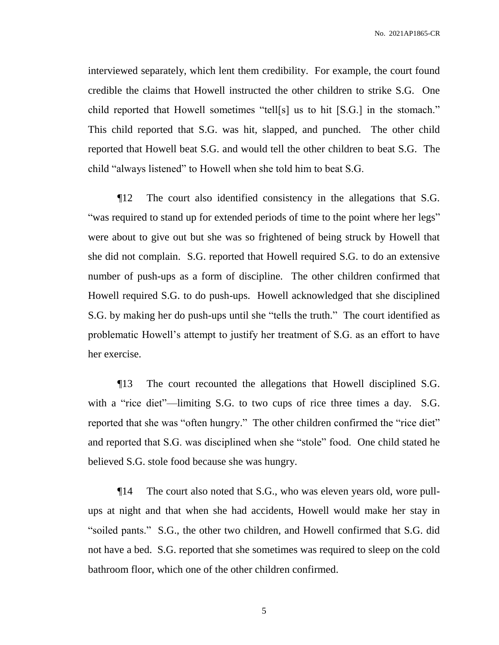interviewed separately, which lent them credibility. For example, the court found credible the claims that Howell instructed the other children to strike S.G. One child reported that Howell sometimes "tell[s] us to hit [S.G.] in the stomach." This child reported that S.G. was hit, slapped, and punched. The other child reported that Howell beat S.G. and would tell the other children to beat S.G. The child "always listened" to Howell when she told him to beat S.G.

¶12 The court also identified consistency in the allegations that S.G. "was required to stand up for extended periods of time to the point where her legs" were about to give out but she was so frightened of being struck by Howell that she did not complain. S.G. reported that Howell required S.G. to do an extensive number of push-ups as a form of discipline. The other children confirmed that Howell required S.G. to do push-ups. Howell acknowledged that she disciplined S.G. by making her do push-ups until she "tells the truth." The court identified as problematic Howell's attempt to justify her treatment of S.G. as an effort to have her exercise.

¶13 The court recounted the allegations that Howell disciplined S.G. with a "rice diet"—limiting S.G. to two cups of rice three times a day. S.G. reported that she was "often hungry." The other children confirmed the "rice diet" and reported that S.G. was disciplined when she "stole" food. One child stated he believed S.G. stole food because she was hungry.

¶14 The court also noted that S.G., who was eleven years old, wore pullups at night and that when she had accidents, Howell would make her stay in "soiled pants." S.G., the other two children, and Howell confirmed that S.G. did not have a bed. S.G. reported that she sometimes was required to sleep on the cold bathroom floor, which one of the other children confirmed.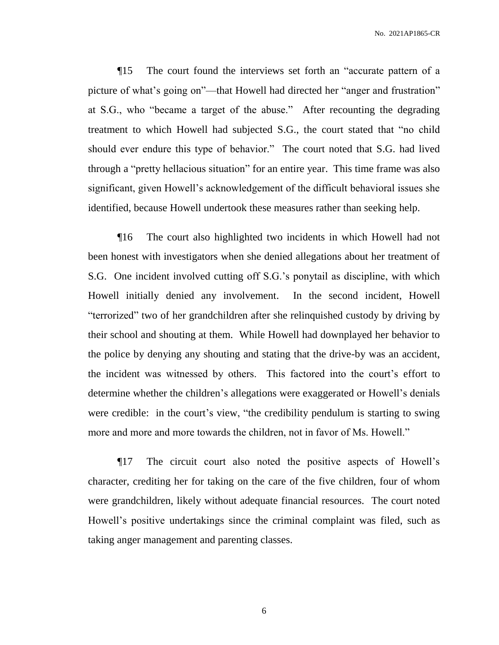¶15 The court found the interviews set forth an "accurate pattern of a picture of what's going on"—that Howell had directed her "anger and frustration" at S.G., who "became a target of the abuse." After recounting the degrading treatment to which Howell had subjected S.G., the court stated that "no child should ever endure this type of behavior." The court noted that S.G. had lived through a "pretty hellacious situation" for an entire year. This time frame was also significant, given Howell's acknowledgement of the difficult behavioral issues she identified, because Howell undertook these measures rather than seeking help.

¶16 The court also highlighted two incidents in which Howell had not been honest with investigators when she denied allegations about her treatment of S.G. One incident involved cutting off S.G.'s ponytail as discipline, with which Howell initially denied any involvement. In the second incident, Howell "terrorized" two of her grandchildren after she relinquished custody by driving by their school and shouting at them. While Howell had downplayed her behavior to the police by denying any shouting and stating that the drive-by was an accident, the incident was witnessed by others. This factored into the court's effort to determine whether the children's allegations were exaggerated or Howell's denials were credible: in the court's view, "the credibility pendulum is starting to swing more and more and more towards the children, not in favor of Ms. Howell."

¶17 The circuit court also noted the positive aspects of Howell's character, crediting her for taking on the care of the five children, four of whom were grandchildren, likely without adequate financial resources. The court noted Howell's positive undertakings since the criminal complaint was filed, such as taking anger management and parenting classes.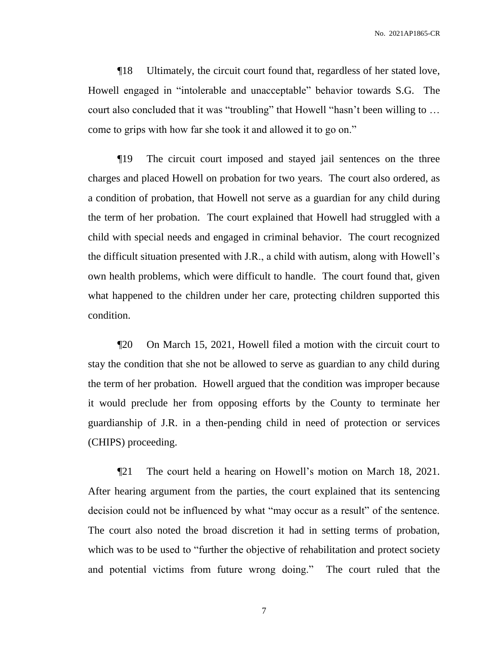¶18 Ultimately, the circuit court found that, regardless of her stated love, Howell engaged in "intolerable and unacceptable" behavior towards S.G. The court also concluded that it was "troubling" that Howell "hasn't been willing to … come to grips with how far she took it and allowed it to go on."

¶19 The circuit court imposed and stayed jail sentences on the three charges and placed Howell on probation for two years. The court also ordered, as a condition of probation, that Howell not serve as a guardian for any child during the term of her probation. The court explained that Howell had struggled with a child with special needs and engaged in criminal behavior. The court recognized the difficult situation presented with J.R., a child with autism, along with Howell's own health problems, which were difficult to handle. The court found that, given what happened to the children under her care, protecting children supported this condition.

¶20 On March 15, 2021, Howell filed a motion with the circuit court to stay the condition that she not be allowed to serve as guardian to any child during the term of her probation. Howell argued that the condition was improper because it would preclude her from opposing efforts by the County to terminate her guardianship of J.R. in a then-pending child in need of protection or services (CHIPS) proceeding.

¶21 The court held a hearing on Howell's motion on March 18, 2021. After hearing argument from the parties, the court explained that its sentencing decision could not be influenced by what "may occur as a result" of the sentence. The court also noted the broad discretion it had in setting terms of probation, which was to be used to "further the objective of rehabilitation and protect society and potential victims from future wrong doing." The court ruled that the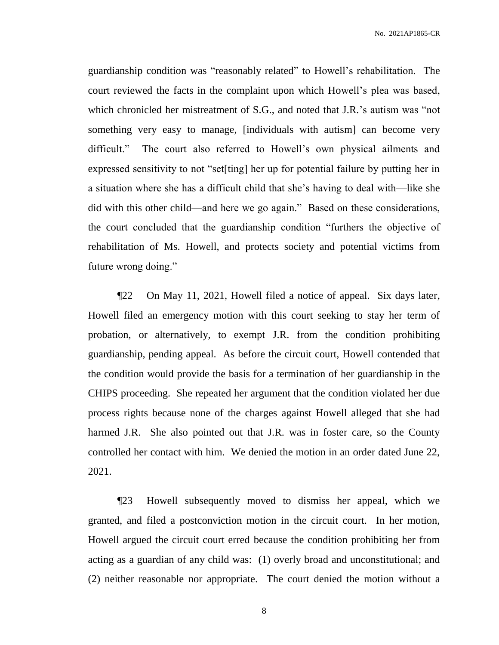guardianship condition was "reasonably related" to Howell's rehabilitation. The court reviewed the facts in the complaint upon which Howell's plea was based, which chronicled her mistreatment of S.G., and noted that J.R.'s autism was "not something very easy to manage, [individuals with autism] can become very difficult." The court also referred to Howell's own physical ailments and expressed sensitivity to not "set[ting] her up for potential failure by putting her in a situation where she has a difficult child that she's having to deal with—like she did with this other child—and here we go again." Based on these considerations, the court concluded that the guardianship condition "furthers the objective of rehabilitation of Ms. Howell, and protects society and potential victims from future wrong doing."

¶22 On May 11, 2021, Howell filed a notice of appeal. Six days later, Howell filed an emergency motion with this court seeking to stay her term of probation, or alternatively, to exempt J.R. from the condition prohibiting guardianship, pending appeal. As before the circuit court, Howell contended that the condition would provide the basis for a termination of her guardianship in the CHIPS proceeding. She repeated her argument that the condition violated her due process rights because none of the charges against Howell alleged that she had harmed J.R. She also pointed out that J.R. was in foster care, so the County controlled her contact with him. We denied the motion in an order dated June 22, 2021.

¶23 Howell subsequently moved to dismiss her appeal, which we granted, and filed a postconviction motion in the circuit court. In her motion, Howell argued the circuit court erred because the condition prohibiting her from acting as a guardian of any child was: (1) overly broad and unconstitutional; and (2) neither reasonable nor appropriate. The court denied the motion without a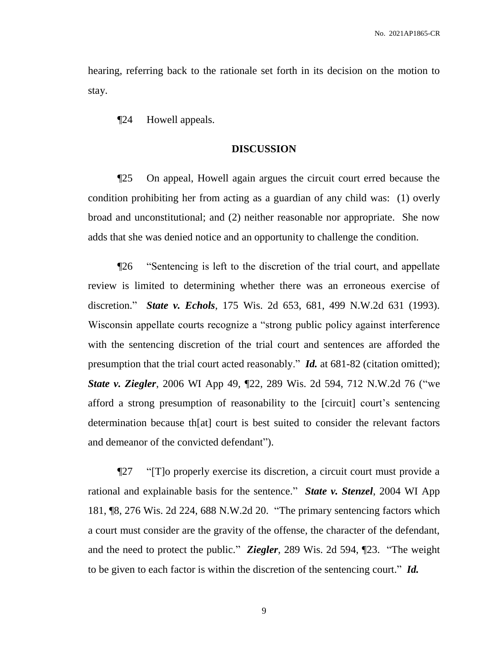hearing, referring back to the rationale set forth in its decision on the motion to stay.

¶24 Howell appeals.

#### **DISCUSSION**

¶25 On appeal, Howell again argues the circuit court erred because the condition prohibiting her from acting as a guardian of any child was: (1) overly broad and unconstitutional; and (2) neither reasonable nor appropriate. She now adds that she was denied notice and an opportunity to challenge the condition.

¶26 "Sentencing is left to the discretion of the trial court, and appellate review is limited to determining whether there was an erroneous exercise of discretion." *State v. Echols*, 175 Wis. 2d 653, 681, 499 N.W.2d 631 (1993). Wisconsin appellate courts recognize a "strong public policy against interference with the sentencing discretion of the trial court and sentences are afforded the presumption that the trial court acted reasonably." *Id.* at 681-82 (citation omitted); *State v. Ziegler*, 2006 WI App 49, ¶22, 289 Wis. 2d 594, 712 N.W.2d 76 ("we afford a strong presumption of reasonability to the [circuit] court's sentencing determination because th[at] court is best suited to consider the relevant factors and demeanor of the convicted defendant").

¶27 "[T]o properly exercise its discretion, a circuit court must provide a rational and explainable basis for the sentence." *State v. Stenzel*, 2004 WI App 181, ¶8, 276 Wis. 2d 224, 688 N.W.2d 20. "The primary sentencing factors which a court must consider are the gravity of the offense, the character of the defendant, and the need to protect the public." *Ziegler*, 289 Wis. 2d 594, ¶23. "The weight to be given to each factor is within the discretion of the sentencing court." *Id.*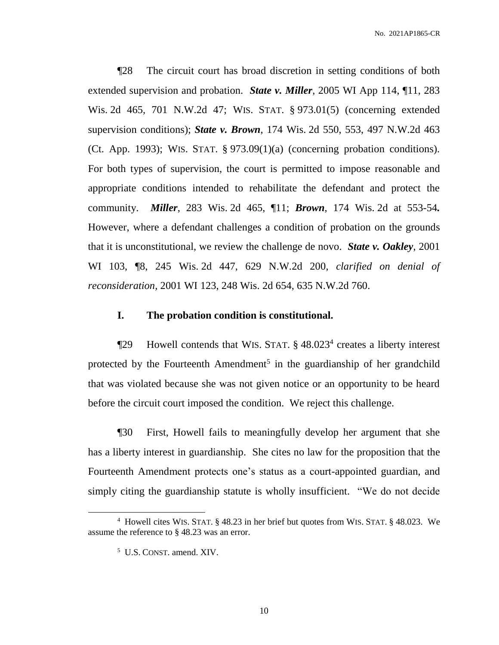¶28 The circuit court has broad discretion in setting conditions of both extended supervision and probation. *State v. Miller*, 2005 WI App 114, ¶11, 283 Wis. 2d 465, 701 N.W.2d 47; WIS. STAT. § 973.01(5) (concerning extended supervision conditions); *State v. Brown*, 174 Wis. 2d 550, 553, 497 N.W.2d 463 (Ct. App. 1993); WIS. STAT.  $\S 973.09(1)(a)$  (concerning probation conditions). For both types of supervision, the court is permitted to impose reasonable and appropriate conditions intended to rehabilitate the defendant and protect the community. *Miller*, 283 Wis. 2d 465, ¶11; *Brown*, 174 Wis. 2d at 553-54*.*  However, where a defendant challenges a condition of probation on the grounds that it is unconstitutional, we review the challenge de novo. *State v. Oakley*, 2001 WI 103, ¶8, 245 Wis. 2d 447, 629 N.W.2d 200, *clarified on denial of reconsideration,* 2001 WI 123, 248 Wis. 2d 654, 635 N.W.2d 760.

## **I. The probation condition is constitutional.**

¶29 Howell contends that WIS. STAT. § 48.023<sup>4</sup> creates a liberty interest protected by the Fourteenth Amendment<sup>5</sup> in the guardianship of her grandchild that was violated because she was not given notice or an opportunity to be heard before the circuit court imposed the condition. We reject this challenge.

¶30 First, Howell fails to meaningfully develop her argument that she has a liberty interest in guardianship. She cites no law for the proposition that the Fourteenth Amendment protects one's status as a court-appointed guardian, and simply citing the guardianship statute is wholly insufficient. "We do not decide

<sup>4</sup> Howell cites WIS. STAT. § 48.23 in her brief but quotes from WIS. STAT. § 48.023. We assume the reference to § 48.23 was an error.

<sup>5</sup> U.S. CONST. amend. XIV.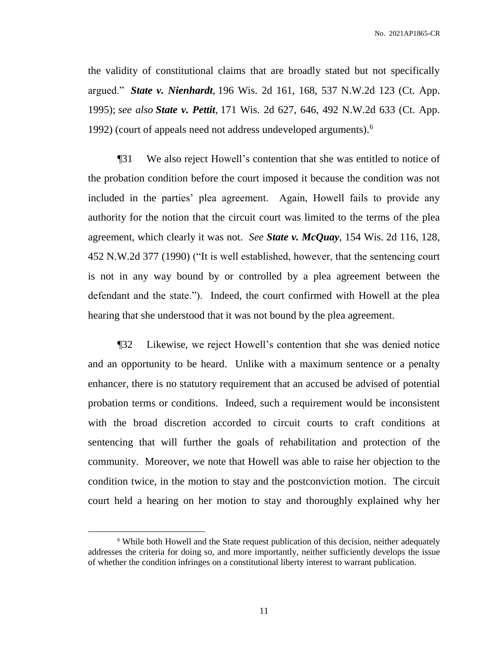the validity of constitutional claims that are broadly stated but not specifically argued." *State v. Nienhardt,* 196 Wis. 2d 161, 168, 537 N.W.2d 123 (Ct. App. 1995); *see also State v. Pettit,* 171 Wis. 2d 627, 646, 492 N.W.2d 633 (Ct. App. 1992) (court of appeals need not address undeveloped arguments).<sup>6</sup>

¶31 We also reject Howell's contention that she was entitled to notice of the probation condition before the court imposed it because the condition was not included in the parties' plea agreement. Again, Howell fails to provide any authority for the notion that the circuit court was limited to the terms of the plea agreement, which clearly it was not. *See State v. McQuay*, 154 Wis. 2d 116, 128, 452 N.W.2d 377 (1990) ("It is well established, however, that the sentencing court is not in any way bound by or controlled by a plea agreement between the defendant and the state."). Indeed, the court confirmed with Howell at the plea hearing that she understood that it was not bound by the plea agreement.

¶32 Likewise, we reject Howell's contention that she was denied notice and an opportunity to be heard. Unlike with a maximum sentence or a penalty enhancer, there is no statutory requirement that an accused be advised of potential probation terms or conditions. Indeed, such a requirement would be inconsistent with the broad discretion accorded to circuit courts to craft conditions at sentencing that will further the goals of rehabilitation and protection of the community. Moreover, we note that Howell was able to raise her objection to the condition twice, in the motion to stay and the postconviction motion. The circuit court held a hearing on her motion to stay and thoroughly explained why her

<sup>&</sup>lt;sup>6</sup> While both Howell and the State request publication of this decision, neither adequately addresses the criteria for doing so, and more importantly, neither sufficiently develops the issue of whether the condition infringes on a constitutional liberty interest to warrant publication.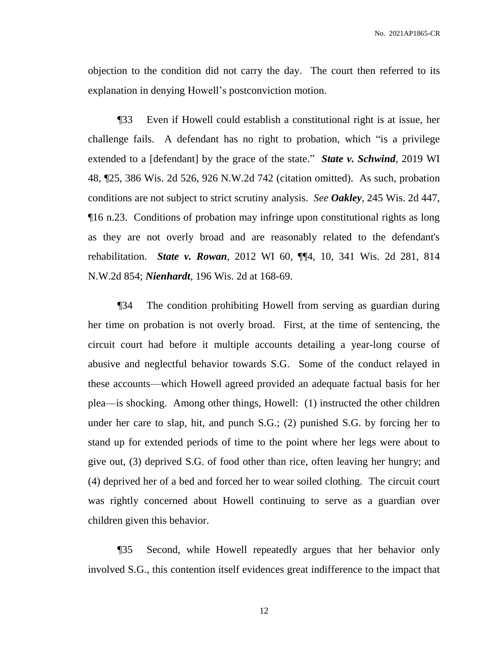objection to the condition did not carry the day. The court then referred to its explanation in denying Howell's postconviction motion.

¶33 Even if Howell could establish a constitutional right is at issue, her challenge fails. A defendant has no right to probation, which "is a privilege extended to a [defendant] by the grace of the state." *State v. Schwind*, 2019 WI 48, ¶25, 386 Wis. 2d 526, 926 N.W.2d 742 (citation omitted). As such, probation conditions are not subject to strict scrutiny analysis. *See Oakley,* 245 Wis. 2d 447, ¶16 n.23. Conditions of probation may infringe upon constitutional rights as long as they are not overly broad and are reasonably related to the defendant's rehabilitation. *State v. Rowan*, 2012 WI 60, ¶¶4, 10, 341 Wis. 2d 281, 814 N.W.2d 854; *Nienhardt*, 196 Wis. 2d at 168-69.

¶34 The condition prohibiting Howell from serving as guardian during her time on probation is not overly broad. First, at the time of sentencing, the circuit court had before it multiple accounts detailing a year-long course of abusive and neglectful behavior towards S.G. Some of the conduct relayed in these accounts—which Howell agreed provided an adequate factual basis for her plea—is shocking. Among other things, Howell: (1) instructed the other children under her care to slap, hit, and punch S.G.; (2) punished S.G. by forcing her to stand up for extended periods of time to the point where her legs were about to give out, (3) deprived S.G. of food other than rice, often leaving her hungry; and (4) deprived her of a bed and forced her to wear soiled clothing. The circuit court was rightly concerned about Howell continuing to serve as a guardian over children given this behavior.

¶35 Second, while Howell repeatedly argues that her behavior only involved S.G., this contention itself evidences great indifference to the impact that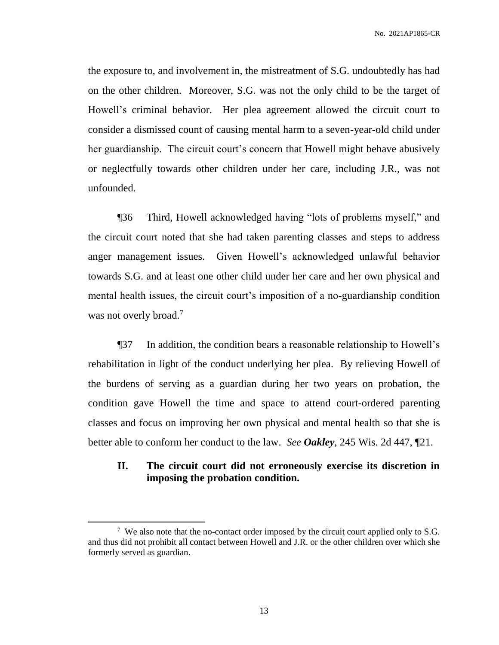the exposure to, and involvement in, the mistreatment of S.G. undoubtedly has had on the other children. Moreover, S.G. was not the only child to be the target of Howell's criminal behavior. Her plea agreement allowed the circuit court to consider a dismissed count of causing mental harm to a seven-year-old child under her guardianship. The circuit court's concern that Howell might behave abusively or neglectfully towards other children under her care, including J.R., was not unfounded.

¶36 Third, Howell acknowledged having "lots of problems myself," and the circuit court noted that she had taken parenting classes and steps to address anger management issues. Given Howell's acknowledged unlawful behavior towards S.G. and at least one other child under her care and her own physical and mental health issues, the circuit court's imposition of a no-guardianship condition was not overly broad.<sup>7</sup>

¶37 In addition, the condition bears a reasonable relationship to Howell's rehabilitation in light of the conduct underlying her plea. By relieving Howell of the burdens of serving as a guardian during her two years on probation, the condition gave Howell the time and space to attend court-ordered parenting classes and focus on improving her own physical and mental health so that she is better able to conform her conduct to the law.*See Oakley*, 245 Wis. 2d 447, ¶21.

# **II. The circuit court did not erroneously exercise its discretion in imposing the probation condition.**

<sup>&</sup>lt;sup>7</sup> We also note that the no-contact order imposed by the circuit court applied only to S.G. and thus did not prohibit all contact between Howell and J.R. or the other children over which she formerly served as guardian.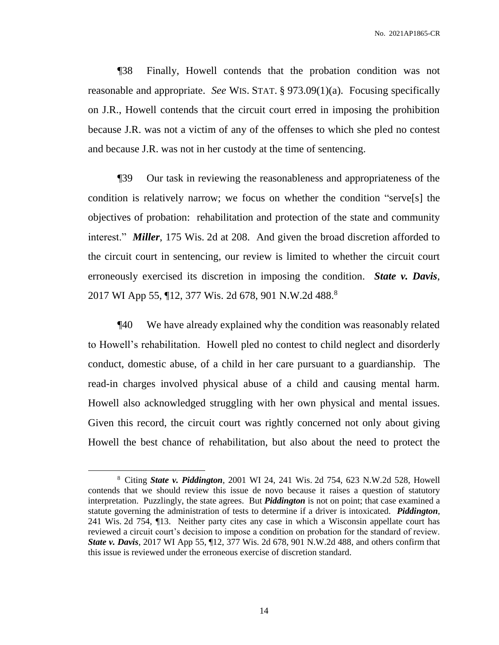¶38 Finally, Howell contends that the probation condition was not reasonable and appropriate. *See* WIS. STAT. § 973.09(1)(a). Focusing specifically on J.R., Howell contends that the circuit court erred in imposing the prohibition because J.R. was not a victim of any of the offenses to which she pled no contest and because J.R. was not in her custody at the time of sentencing.

¶39 Our task in reviewing the reasonableness and appropriateness of the condition is relatively narrow; we focus on whether the condition "serve[s] the objectives of probation: rehabilitation and protection of the state and community interest." *Miller*, 175 Wis. 2d at 208. And given the broad discretion afforded to the circuit court in sentencing, our review is limited to whether the circuit court erroneously exercised its discretion in imposing the condition. *State v. Davis*, 2017 WI App 55, ¶12, 377 Wis. 2d 678, 901 N.W.2d 488.<sup>8</sup>

¶40 We have already explained why the condition was reasonably related to Howell's rehabilitation. Howell pled no contest to child neglect and disorderly conduct, domestic abuse, of a child in her care pursuant to a guardianship. The read-in charges involved physical abuse of a child and causing mental harm. Howell also acknowledged struggling with her own physical and mental issues. Given this record, the circuit court was rightly concerned not only about giving Howell the best chance of rehabilitation, but also about the need to protect the

<sup>8</sup> Citing *State v. Piddington*, 2001 WI 24, 241 Wis. 2d 754, 623 N.W.2d 528, Howell contends that we should review this issue de novo because it raises a question of statutory interpretation. Puzzlingly, the state agrees. But *Piddington* is not on point; that case examined a statute governing the administration of tests to determine if a driver is intoxicated. *Piddington*, 241 Wis. 2d 754, ¶13. Neither party cites any case in which a Wisconsin appellate court has reviewed a circuit court's decision to impose a condition on probation for the standard of review. *State v. Davis*, 2017 WI App 55, ¶12, 377 Wis. 2d 678, 901 N.W.2d 488, and others confirm that this issue is reviewed under the erroneous exercise of discretion standard.